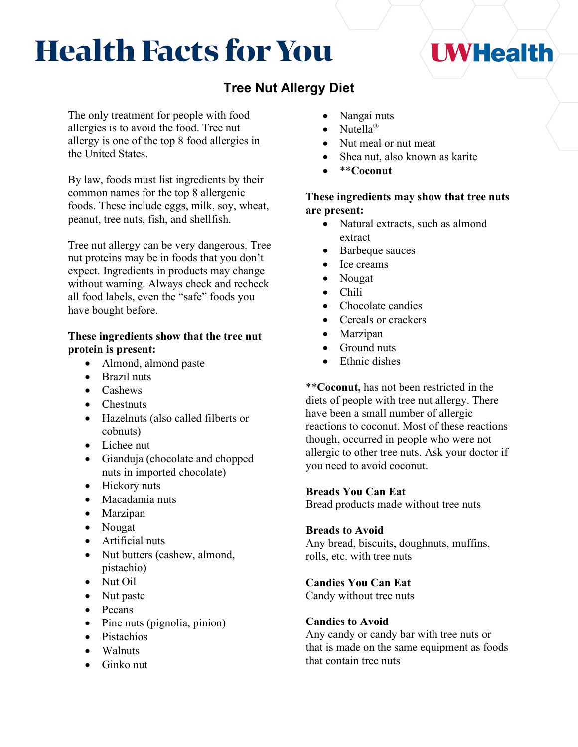# **Health Facts for You**

# **Tree Nut Allergy Diet**

The only treatment for people with food allergies is to avoid the food. Tree nut allergy is one of the top 8 food allergies in the United States.

By law, foods must list ingredients by their common names for the top 8 allergenic foods. These include eggs, milk, soy, wheat, peanut, tree nuts, fish, and shellfish.

Tree nut allergy can be very dangerous. Tree nut proteins may be in foods that you don't expect. Ingredients in products may change without warning. Always check and recheck all food labels, even the "safe" foods you have bought before.

# **These ingredients show that the tree nut protein is present:**

- Almond, almond paste
- Brazil nuts
- Cashews
- Chestnuts
- Hazelnuts (also called filberts or cobnuts)
- Lichee nut
- Gianduja (chocolate and chopped nuts in imported chocolate)
- Hickory nuts
- Macadamia nuts
- Marzipan
- Nougat
- Artificial nuts
- Nut butters (cashew, almond, pistachio)
- Nut Oil
- Nut paste
- Pecans
- Pine nuts (pignolia, pinion)
- Pistachios
- Walnuts
- Ginko nut
- Nangai nuts
- Nutella<sup>®</sup>
- Nut meal or nut meat
- Shea nut, also known as karite
- \*\***Coconut**

# **These ingredients may show that tree nuts are present:**

- Natural extracts, such as almond extract
- Barbeque sauces
- Ice creams
- Nougat
- Chili
- Chocolate candies
- Cereals or crackers
- **Marzipan**
- Ground nuts
- Ethnic dishes

\*\***Coconut,** has not been restricted in the diets of people with tree nut allergy. There have been a small number of allergic reactions to coconut. Most of these reactions though, occurred in people who were not allergic to other tree nuts. Ask your doctor if you need to avoid coconut.

# **Breads You Can Eat**

Bread products made without tree nuts

# **Breads to Avoid**

Any bread, biscuits, doughnuts, muffins, rolls, etc. with tree nuts

# **Candies You Can Eat**

Candy without tree nuts

# **Candies to Avoid**

Any candy or candy bar with tree nuts or that is made on the same equipment as foods that contain tree nuts

# **I WHealth**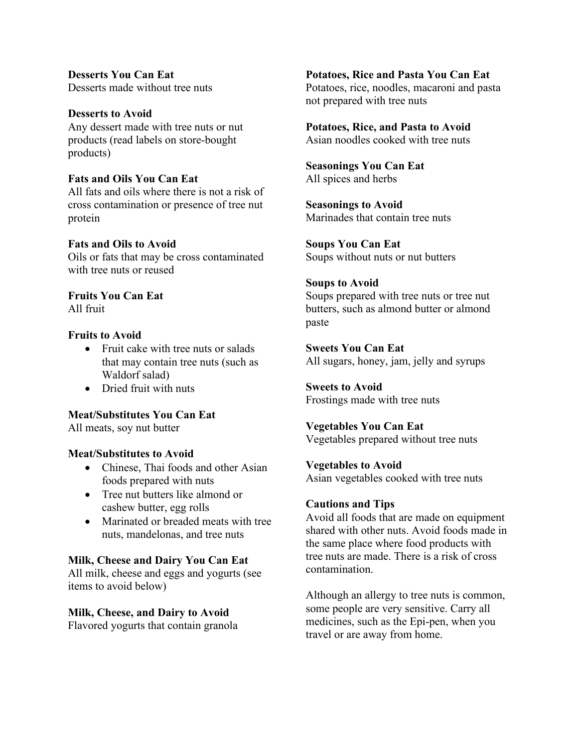**Desserts You Can Eat** Desserts made without tree nuts

**Desserts to Avoid** Any dessert made with tree nuts or nut products (read labels on store-bought products)

# **Fats and Oils You Can Eat**

All fats and oils where there is not a risk of cross contamination or presence of tree nut protein

#### **Fats and Oils to Avoid**

Oils or fats that may be cross contaminated with tree nuts or reused

**Fruits You Can Eat** All fruit

#### **Fruits to Avoid**

- Fruit cake with tree nuts or salads that may contain tree nuts (such as Waldorf salad)
- Dried fruit with nuts

# **Meat/Substitutes You Can Eat**

All meats, soy nut butter

#### **Meat/Substitutes to Avoid**

- Chinese, Thai foods and other Asian foods prepared with nuts
- Tree nut butters like almond or cashew butter, egg rolls
- Marinated or breaded meats with tree nuts, mandelonas, and tree nuts

### **Milk, Cheese and Dairy You Can Eat**

All milk, cheese and eggs and yogurts (see items to avoid below)

#### **Milk, Cheese, and Dairy to Avoid**

Flavored yogurts that contain granola

**Potatoes, Rice and Pasta You Can Eat** Potatoes, rice, noodles, macaroni and pasta not prepared with tree nuts

#### **Potatoes, Rice, and Pasta to Avoid**

Asian noodles cooked with tree nuts

**Seasonings You Can Eat** All spices and herbs

**Seasonings to Avoid** Marinades that contain tree nuts

**Soups You Can Eat** Soups without nuts or nut butters

# **Soups to Avoid**

Soups prepared with tree nuts or tree nut butters, such as almond butter or almond paste

**Sweets You Can Eat** All sugars, honey, jam, jelly and syrups

**Sweets to Avoid** Frostings made with tree nuts

# **Vegetables You Can Eat**

Vegetables prepared without tree nuts

#### **Vegetables to Avoid**

Asian vegetables cooked with tree nuts

#### **Cautions and Tips**

Avoid all foods that are made on equipment shared with other nuts. Avoid foods made in the same place where food products with tree nuts are made. There is a risk of cross contamination.

Although an allergy to tree nuts is common, some people are very sensitive. Carry all medicines, such as the Epi-pen, when you travel or are away from home.